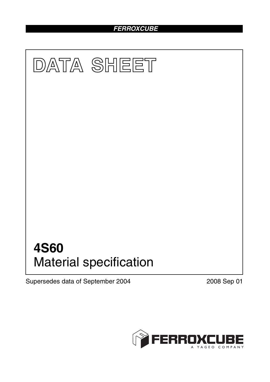## *FERROXCUBE*



Supersedes data of September 2004 2008 Sep 01

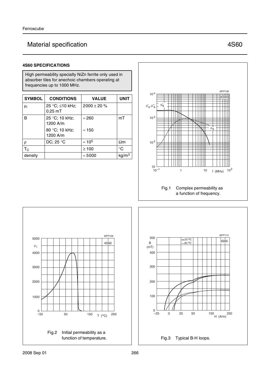## Material specification **AS60** Material specification

### **4S60 SPECIFICATIONS**

High permeability specialty NiZn ferrite only used in absorber tiles for anechoic chambers operating at frequencies up to 1000 MHz.

| <b>SYMBOL</b>  | <b>CONDITIONS</b>            | <b>VALUE</b>     | <b>UNIT</b>       |
|----------------|------------------------------|------------------|-------------------|
| μ <sub>i</sub> | 25 °C; ≤10 kHz;<br>$0.25$ mT | $2000 \pm 20 \%$ |                   |
| B              | 25 °C; 10 kHz;<br>1200 A/m   | $\approx$ 260    | mT                |
|                | 80 °C; 10 kHz;<br>1200 A/m   | $\approx$ 150    |                   |
| $\rho$         | DC; 25 °C                    | $\approx 10^5$   | $\Omega$ m        |
| $T_{\rm C}$    |                              | $\geq 100$       | $^{\circ}C$       |
| density        |                              | $\approx 5000$   | kg/m <sup>3</sup> |





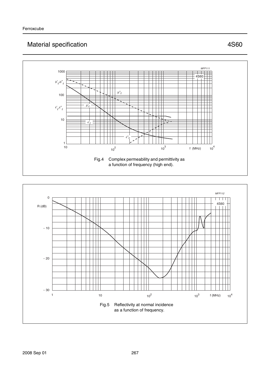# Material specification **AS60** Material specification